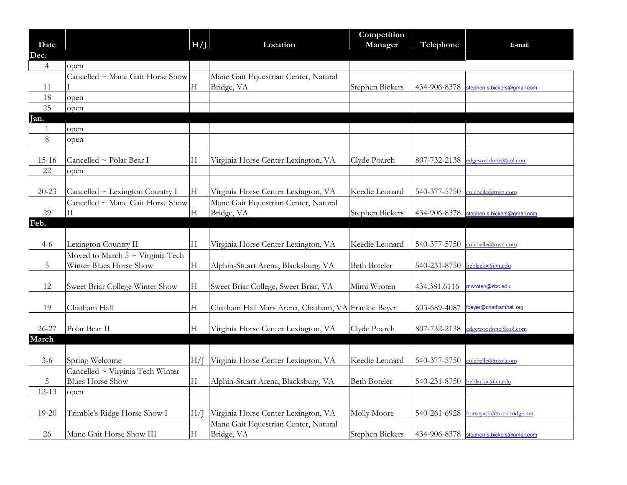|                |                                       |     |                                                    | Competition            |                              |                                          |
|----------------|---------------------------------------|-----|----------------------------------------------------|------------------------|------------------------------|------------------------------------------|
| Date           |                                       | H/I | Location                                           | Manager                | Telephone                    | E-mail                                   |
| Dec.           |                                       |     |                                                    |                        |                              |                                          |
| $\overline{4}$ | open                                  |     |                                                    |                        |                              |                                          |
|                | Cancelled ~ Mane Gait Horse Show      |     | Mane Gait Equestrian Center, Natural               |                        |                              |                                          |
| 11             |                                       | Н   | Bridge, VA                                         | Stephen Bickers        | 434-906-8378                 | stephen.s.bickers@gmail.com              |
| 18             | open                                  |     |                                                    |                        |                              |                                          |
| 25             | open                                  |     |                                                    |                        |                              |                                          |
| Jan.           |                                       |     |                                                    |                        |                              |                                          |
| $\overline{1}$ | open                                  |     |                                                    |                        |                              |                                          |
| $\,8\,$        | open                                  |     |                                                    |                        |                              |                                          |
|                |                                       |     |                                                    |                        |                              |                                          |
| $15 - 16$      | Cancelled ~ Polar Bear I              | Н   | Virginia Horse Center Lexington, VA                | Clyde Poarch           | 807-732-2138                 | edgewoodone@aol.com                      |
| 22             | open                                  |     |                                                    |                        |                              |                                          |
|                |                                       |     |                                                    |                        |                              |                                          |
| $20 - 23$      | Cancelled ~ Lexington Country I       | Н   | Virginia Horse Center Lexington, VA                | Keedie Leonard         | 540-377-5750                 | colebelle@msn.com                        |
|                | Cancelled ~ Mane Gait Horse Show      |     | Mane Gait Equestrian Center, Natural               |                        |                              |                                          |
| 29             | $\rm II$                              | H   | Bridge, VA                                         | Stephen Bickers        |                              | 434-906-8378 stephen.s.bickers@gmail.com |
| Feb.           |                                       |     |                                                    |                        |                              |                                          |
|                |                                       |     |                                                    |                        |                              |                                          |
| $4 - 6$        | Lexington Country II                  | H   | Virginia Horse Center Lexington, VA                | Keedie Leonard         | 540-377-5750                 | colebelle@msn.com                        |
|                | Moved to March $5 \sim$ Virginia Tech |     |                                                    |                        |                              |                                          |
| 5              | Winter Blues Horse Show               | H   | Alphin-Stuart Arena, Blacksburg, VA                | <b>Beth Boteler</b>    | 540-231-8750                 | beblackw@vt.edu                          |
|                |                                       |     |                                                    |                        |                              |                                          |
| 12             | Sweet Briar College Winter Show       | H   | Sweet Briar College, Sweet Briar, VA               | Mimi Wroten            | 434.381.6116                 | nwroten@sbc.edu                          |
|                |                                       |     |                                                    |                        |                              |                                          |
| 19             | Chatham Hall                          | H   | Chatham Hall Mars Arena, Chatham, VA Frankie Beyer |                        | 603-689-4087                 | beyer@chathamhall.org                    |
|                |                                       |     |                                                    |                        |                              |                                          |
| $26 - 27$      | Polar Bear II                         | H   | Virginia Horse Center Lexington, VA                | Clyde Poarch           | 807-732-2138                 | edgewoodone@aol.com                      |
| March          |                                       |     |                                                    |                        |                              |                                          |
|                |                                       |     |                                                    |                        |                              |                                          |
| $3 - 6$        | Spring Welcome                        | H/  | Virginia Horse Center Lexington, VA                | Keedie Leonard         | 540-377-5750                 | colebelle@msn.com                        |
|                | Cancelled ~ Virginia Tech Winter      |     |                                                    |                        |                              |                                          |
| 5              | <b>Blues Horse Show</b>               | Н   | Alphin-Stuart Arena, Blacksburg, VA                | <b>Beth Boteler</b>    | 540-231-8750 beblackw@yt.edu |                                          |
| $12 - 13$      | open                                  |     |                                                    |                        |                              |                                          |
|                |                                       |     |                                                    |                        |                              |                                          |
| $19 - 20$      | Trimble's Ridge Horse Show I          | H/I | Virginia Horse Center Lexington, VA                | Molly Moore            |                              | 540-261-6928 horseyack@rockbridge.net    |
|                |                                       |     | Mane Gait Equestrian Center, Natural               |                        |                              |                                          |
| 26             | Mane Gait Horse Show III              | H   | Bridge, VA                                         | <b>Stephen Bickers</b> |                              | 434-906-8378 stephen.s.bickers@gmail.com |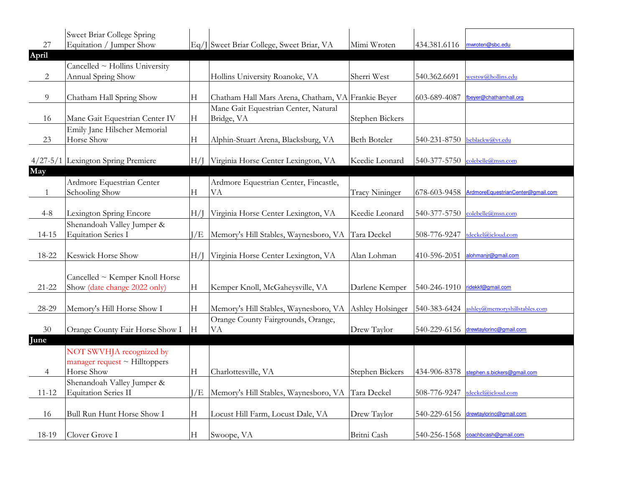|           | Sweet Briar College Spring         |     |                                                    |                       |                              |                                      |
|-----------|------------------------------------|-----|----------------------------------------------------|-----------------------|------------------------------|--------------------------------------|
| 27        | Equitation / Jumper Show           |     | Eq/J Sweet Briar College, Sweet Briar, VA          | Mimi Wroten           | 434.381.6116                 | mwroten@sbc.edu                      |
| April     |                                    |     |                                                    |                       |                              |                                      |
|           | Cancelled ~ Hollins University     |     |                                                    |                       |                              |                                      |
| 2         | Annual Spring Show                 |     | Hollins University Roanoke, VA                     | Sherri West           | 540.362.6691                 | westsw@hollins.edu                   |
|           |                                    |     |                                                    |                       |                              |                                      |
| 9         | Chatham Hall Spring Show           | Н   | Chatham Hall Mars Arena, Chatham, VA Frankie Beyer |                       | 603-689-4087                 | fbeyer@chathamhall.org               |
|           |                                    |     | Mane Gait Equestrian Center, Natural               |                       |                              |                                      |
| 16        | Mane Gait Equestrian Center IV     | Н   | Bridge, VA                                         | Stephen Bickers       |                              |                                      |
|           | Emily Jane Hilscher Memorial       |     |                                                    |                       |                              |                                      |
| 23        | Horse Show                         | Н   | Alphin-Stuart Arena, Blacksburg, VA                | <b>Beth Boteler</b>   | 540-231-8750 beblackw@yt.edu |                                      |
|           |                                    |     |                                                    |                       |                              |                                      |
|           | 4/27-5/1 Lexington Spring Premiere | H/I | Virginia Horse Center Lexington, VA                | Keedie Leonard        |                              | 540-377-5750 colebelle@msn.com       |
| May       |                                    |     |                                                    |                       |                              |                                      |
|           | Ardmore Equestrian Center          |     | Ardmore Equestrian Center, Fincastle,              |                       |                              |                                      |
|           | Schooling Show                     | Н   | <b>VA</b>                                          | <b>Tracy Nininger</b> | 678-603-9458                 | ArdmoreEquestrianCenter@gmail.com    |
|           |                                    |     |                                                    |                       |                              |                                      |
| $4 - 8$   | Lexington Spring Encore            | H/I | Virginia Horse Center Lexington, VA                | Keedie Leonard        | 540-377-5750                 | colebelle@msn.com                    |
|           | Shenandoah Valley Jumper &         |     |                                                    |                       |                              |                                      |
| $14 - 15$ | <b>Equitation Series I</b>         | J/E | Memory's Hill Stables, Waynesboro, VA Tara Deckel  |                       | 508-776-9247                 | tdeckel@icloud.com                   |
|           |                                    |     |                                                    |                       |                              |                                      |
| 18-22     | Keswick Horse Show                 | H/I | Virginia Horse Center Lexington, VA                | Alan Lohman           | 410-596-2051                 | alohmanir@gmail.com                  |
|           |                                    |     |                                                    |                       |                              |                                      |
|           | Cancelled ~ Kemper Knoll Horse     |     |                                                    |                       |                              |                                      |
| $21 - 22$ | Show (date change 2022 only)       | H   | Kemper Knoll, McGaheysville, VA                    | Darlene Kemper        | 540-246-1910                 | ridekkf@gmail.com                    |
|           |                                    |     |                                                    |                       |                              |                                      |
| 28-29     | Memory's Hill Horse Show I         | Н   | Memory's Hill Stables, Waynesboro, VA              | Ashley Holsinger      | 540-383-6424                 | ushley@memoryshillstables.com        |
|           |                                    |     | Orange County Fairgrounds, Orange,                 |                       |                              |                                      |
| 30        | Orange County Fair Horse Show I    | H   | VA                                                 | Drew Taylor           |                              | 540-229-6156 drewtaylorinc@gmail.com |
| June      |                                    |     |                                                    |                       |                              |                                      |
|           | NOT SWVHJA recognized by           |     |                                                    |                       |                              |                                      |
|           | manager request $\sim$ Hilltoppers |     |                                                    |                       |                              |                                      |
| 4         | Horse Show                         | H   | Charlottesville, VA                                | Stephen Bickers       | 434-906-8378                 | stephen.s.bickers@gmail.com          |
|           | Shenandoah Valley Jumper &         |     |                                                    |                       |                              |                                      |
| $11 - 12$ | <b>Equitation Series II</b>        | I/E | Memory's Hill Stables, Waynesboro, VA Tara Deckel  |                       | 508-776-9247                 | tdeckel@icloud.com                   |
|           |                                    |     |                                                    |                       |                              |                                      |
| 16        | Bull Run Hunt Horse Show I         | H   | Locust Hill Farm, Locust Dale, VA                  | Drew Taylor           |                              | 540-229-6156 drewtaylorinc@gmail.com |
|           |                                    |     |                                                    |                       |                              |                                      |
| 18-19     | Clover Grove I                     | H   | Swoope, VA                                         | Britni Cash           | 540-256-1568                 | coachbcash@gmail.com                 |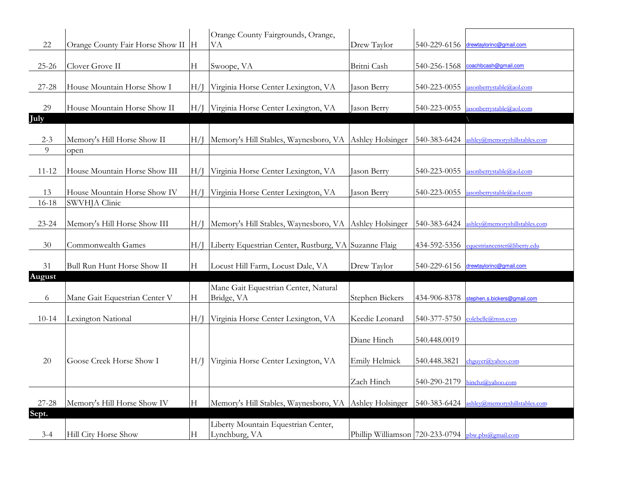|           |                                      |             | Orange County Fairgrounds, Orange,                     |                                                   |              |                                        |
|-----------|--------------------------------------|-------------|--------------------------------------------------------|---------------------------------------------------|--------------|----------------------------------------|
| 22        | Orange County Fair Horse Show II   H |             | VА                                                     | Drew Taylor                                       | 540-229-6156 | drewtaylorinc@gmail.com                |
| $25 - 26$ | Clover Grove II                      | H           | Swoope, VA                                             | Britni Cash                                       | 540-256-1568 | coachbcash@gmail.com                   |
|           |                                      |             |                                                        |                                                   |              |                                        |
| $27 - 28$ | House Mountain Horse Show I          | H/I         | Virginia Horse Center Lexington, VA                    | Jason Berry                                       | 540-223-0055 | asonberrystable@aol.com                |
| 29        | House Mountain Horse Show II         | H/I         | Virginia Horse Center Lexington, VA                    | Jason Berry                                       | 540-223-0055 | asonberrystable@aol.com                |
| July      |                                      |             |                                                        |                                                   |              |                                        |
|           |                                      |             |                                                        |                                                   |              |                                        |
| $2 - 3$   | Memory's Hill Horse Show II          | H/I         | Memory's Hill Stables, Waynesboro, VA                  | Ashley Holsinger                                  | 540-383-6424 | ashley@memoryshillstables.com          |
| 9         | open                                 |             |                                                        |                                                   |              |                                        |
|           |                                      |             |                                                        |                                                   |              |                                        |
| $11 - 12$ | House Mountain Horse Show III        | H/I         | Virginia Horse Center Lexington, VA                    | Jason Berry                                       | 540-223-0055 | asonberrystable@aol. <mark>c</mark> om |
| 13        | House Mountain Horse Show IV         | H/I         | Virginia Horse Center Lexington, VA                    | Jason Berry                                       | 540-223-0055 | asonberrystable@aol.com                |
| $16 - 18$ | SWVHJA Clinic                        |             |                                                        |                                                   |              |                                        |
|           |                                      |             |                                                        |                                                   |              |                                        |
| $23 - 24$ | Memory's Hill Horse Show III         | H/I         | Memory's Hill Stables, Waynesboro, VA Ashley Holsinger |                                                   | 540-383-6424 | shley@memoryshillstables.com           |
|           |                                      |             |                                                        |                                                   |              |                                        |
| 30        | Commonwealth Games                   | H/I         | Liberty Equestrian Center, Rustburg, VA Suzanne Flaig  |                                                   | 434-592-5356 | equestriancenter@liberty.edu           |
| 31        | Bull Run Hunt Horse Show II          | H           | Locust Hill Farm, Locust Dale, VA                      | Drew Taylor                                       | 540-229-6156 | drewtaylorinc@gmail.com                |
| August    |                                      |             |                                                        |                                                   |              |                                        |
|           |                                      |             | Mane Gait Equestrian Center, Natural                   |                                                   |              |                                        |
| 6         | Mane Gait Equestrian Center V        | $\mathbf H$ | Bridge, VA                                             | Stephen Bickers                                   | 434-906-8378 | stephen.s.bickers@gmail.com            |
|           |                                      |             |                                                        |                                                   |              |                                        |
| $10 - 14$ | Lexington National                   | H/I         | Virginia Horse Center Lexington, VA                    | Keedie Leonard                                    | 540-377-5750 | colebelle@msn.com                      |
|           |                                      |             |                                                        | Diane Hinch                                       | 540.448.0019 |                                        |
|           |                                      |             |                                                        |                                                   |              |                                        |
| 20        | Goose Creek Horse Show I             | H/I         | Virginia Horse Center Lexington, VA                    | Emily Helmick                                     | 540.448.3821 | ehguyer@yahoo.com                      |
|           |                                      |             |                                                        |                                                   |              |                                        |
|           |                                      |             |                                                        | Zach Hinch                                        | 540-290-2179 | hinchz@yahoo.com                       |
|           |                                      |             |                                                        |                                                   |              |                                        |
| $27 - 28$ | Memory's Hill Horse Show IV          | Н           | Memory's Hill Stables, Waynesboro, VA Ashley Holsinger |                                                   | 540-383-6424 | ashley@memoryshillstables.com          |
| Sept.     |                                      |             |                                                        |                                                   |              |                                        |
| $3 - 4$   | Hill City Horse Show                 | Н           | Liberty Mountain Equestrian Center,<br>Lynchburg, VA   | Phillip Williamson 720-233-0794 bbw.pbs@gmail.com |              |                                        |
|           |                                      |             |                                                        |                                                   |              |                                        |